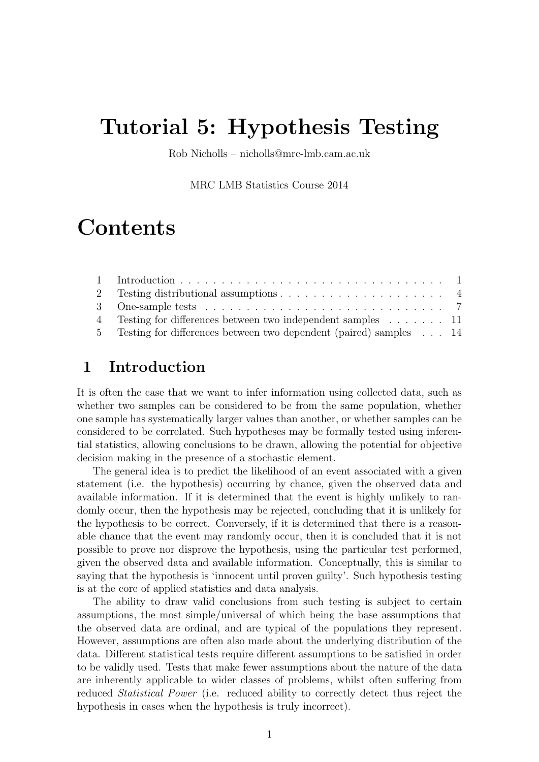# Tutorial 5: Hypothesis Testing

Rob Nicholls – nicholls@mrc-lmb.cam.ac.uk

MRC LMB Statistics Course 2014

# Contents

| 4 Testing for differences between two independent samples 11        |  |
|---------------------------------------------------------------------|--|
| 5 Testing for differences between two dependent (paired) samples 14 |  |

# 1 Introduction

It is often the case that we want to infer information using collected data, such as whether two samples can be considered to be from the same population, whether one sample has systematically larger values than another, or whether samples can be considered to be correlated. Such hypotheses may be formally tested using inferential statistics, allowing conclusions to be drawn, allowing the potential for objective decision making in the presence of a stochastic element.

The general idea is to predict the likelihood of an event associated with a given statement (i.e. the hypothesis) occurring by chance, given the observed data and available information. If it is determined that the event is highly unlikely to randomly occur, then the hypothesis may be rejected, concluding that it is unlikely for the hypothesis to be correct. Conversely, if it is determined that there is a reasonable chance that the event may randomly occur, then it is concluded that it is not possible to prove nor disprove the hypothesis, using the particular test performed, given the observed data and available information. Conceptually, this is similar to saying that the hypothesis is 'innocent until proven guilty'. Such hypothesis testing is at the core of applied statistics and data analysis.

The ability to draw valid conclusions from such testing is subject to certain assumptions, the most simple/universal of which being the base assumptions that the observed data are ordinal, and are typical of the populations they represent. However, assumptions are often also made about the underlying distribution of the data. Different statistical tests require different assumptions to be satisfied in order to be validly used. Tests that make fewer assumptions about the nature of the data are inherently applicable to wider classes of problems, whilst often suffering from reduced Statistical Power (i.e. reduced ability to correctly detect thus reject the hypothesis in cases when the hypothesis is truly incorrect).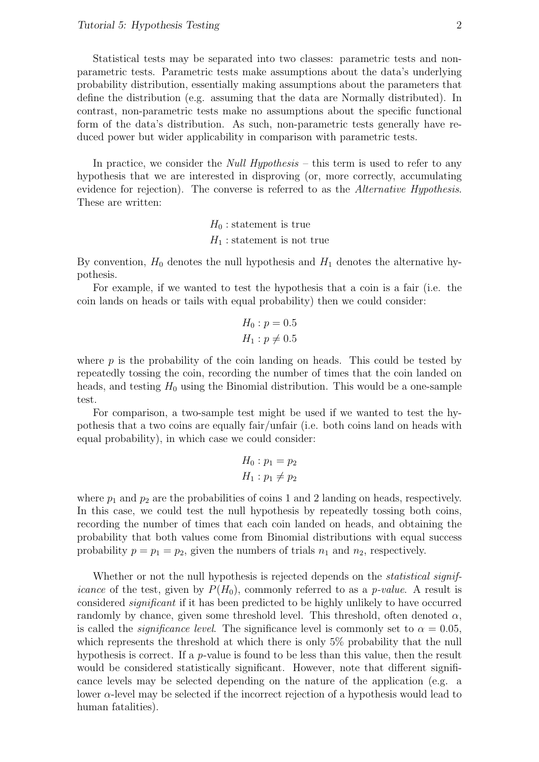Statistical tests may be separated into two classes: parametric tests and nonparametric tests. Parametric tests make assumptions about the data's underlying probability distribution, essentially making assumptions about the parameters that define the distribution (e.g. assuming that the data are Normally distributed). In contrast, non-parametric tests make no assumptions about the specific functional form of the data's distribution. As such, non-parametric tests generally have reduced power but wider applicability in comparison with parametric tests.

In practice, we consider the *Null Hypothesis* – this term is used to refer to any hypothesis that we are interested in disproving (or, more correctly, accumulating evidence for rejection). The converse is referred to as the Alternative Hypothesis. These are written:

> $H_0$ : statement is true  $H_1$ : statement is not true

By convention,  $H_0$  denotes the null hypothesis and  $H_1$  denotes the alternative hypothesis.

For example, if we wanted to test the hypothesis that a coin is a fair (i.e. the coin lands on heads or tails with equal probability) then we could consider:

$$
H_0: p = 0.5
$$
  

$$
H_1: p \neq 0.5
$$

where  $p$  is the probability of the coin landing on heads. This could be tested by repeatedly tossing the coin, recording the number of times that the coin landed on heads, and testing  $H_0$  using the Binomial distribution. This would be a one-sample test.

For comparison, a two-sample test might be used if we wanted to test the hypothesis that a two coins are equally fair/unfair (i.e. both coins land on heads with equal probability), in which case we could consider:

$$
H_0: p_1 = p_2
$$
  

$$
H_1: p_1 \neq p_2
$$

where  $p_1$  and  $p_2$  are the probabilities of coins 1 and 2 landing on heads, respectively. In this case, we could test the null hypothesis by repeatedly tossing both coins, recording the number of times that each coin landed on heads, and obtaining the probability that both values come from Binomial distributions with equal success probability  $p = p_1 = p_2$ , given the numbers of trials  $n_1$  and  $n_2$ , respectively.

Whether or not the null hypothesis is rejected depends on the *statistical significance* of the test, given by  $P(H_0)$ , commonly referred to as a *p-value*. A result is considered *significant* if it has been predicted to be highly unlikely to have occurred randomly by chance, given some threshold level. This threshold, often denoted  $\alpha$ , is called the *significance level*. The significance level is commonly set to  $\alpha = 0.05$ . which represents the threshold at which there is only 5% probability that the null hypothesis is correct. If a  $p$ -value is found to be less than this value, then the result would be considered statistically significant. However, note that different significance levels may be selected depending on the nature of the application (e.g. a lower  $\alpha$ -level may be selected if the incorrect rejection of a hypothesis would lead to human fatalities).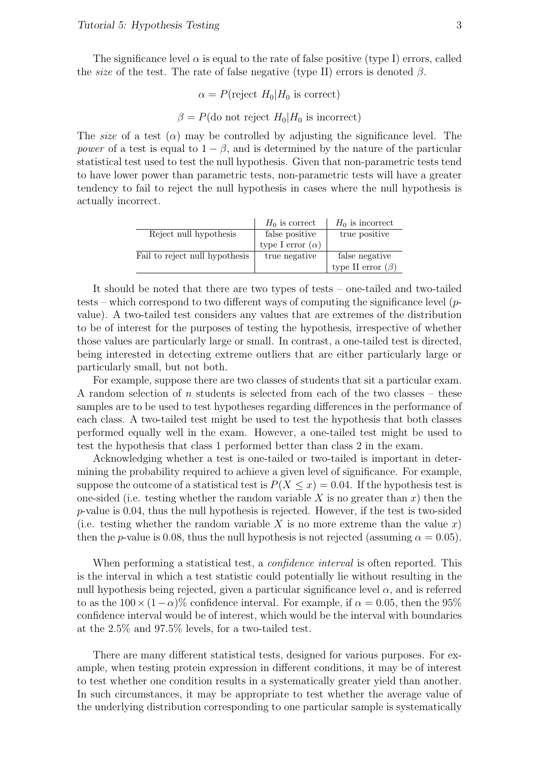The significance level  $\alpha$  is equal to the rate of false positive (type I) errors, called the *size* of the test. The rate of false negative (type II) errors is denoted  $\beta$ .

$$
\alpha = P(\text{reject } H_0 | H_0 \text{ is correct})
$$

$$
\beta = P(\text{do not reject } H_0 | H_0 \text{ is incorrect})
$$

The size of a test  $(\alpha)$  may be controlled by adjusting the significance level. The power of a test is equal to  $1 - \beta$ , and is determined by the nature of the particular statistical test used to test the null hypothesis. Given that non-parametric tests tend to have lower power than parametric tests, non-parametric tests will have a greater tendency to fail to reject the null hypothesis in cases where the null hypothesis is actually incorrect.

|                                | $H_0$ is correct        | $H_0$ is incorrect      |
|--------------------------------|-------------------------|-------------------------|
| Reject null hypothesis         | false positive          | true positive           |
|                                | type I error $(\alpha)$ |                         |
| Fail to reject null hypothesis | true negative           | false negative          |
|                                |                         | type II error $(\beta)$ |

It should be noted that there are two types of tests – one-tailed and two-tailed tests – which correspond to two different ways of computing the significance level  $(p$ value). A two-tailed test considers any values that are extremes of the distribution to be of interest for the purposes of testing the hypothesis, irrespective of whether those values are particularly large or small. In contrast, a one-tailed test is directed, being interested in detecting extreme outliers that are either particularly large or particularly small, but not both.

For example, suppose there are two classes of students that sit a particular exam. A random selection of n students is selected from each of the two classes – these samples are to be used to test hypotheses regarding differences in the performance of each class. A two-tailed test might be used to test the hypothesis that both classes performed equally well in the exam. However, a one-tailed test might be used to test the hypothesis that class 1 performed better than class 2 in the exam.

Acknowledging whether a test is one-tailed or two-tailed is important in determining the probability required to achieve a given level of significance. For example, suppose the outcome of a statistical test is  $P(X \leq x) = 0.04$ . If the hypothesis test is one-sided (i.e. testing whether the random variable X is no greater than  $x$ ) then the  $p$ -value is 0.04, thus the null hypothesis is rejected. However, if the test is two-sided (i.e. testing whether the random variable X is no more extreme than the value x) then the *p*-value is 0.08, thus the null hypothesis is not rejected (assuming  $\alpha = 0.05$ ).

When performing a statistical test, a *confidence interval* is often reported. This is the interval in which a test statistic could potentially lie without resulting in the null hypothesis being rejected, given a particular significance level  $\alpha$ , and is referred to as the  $100 \times (1-\alpha)$ % confidence interval. For example, if  $\alpha = 0.05$ , then the 95% confidence interval would be of interest, which would be the interval with boundaries at the 2.5% and 97.5% levels, for a two-tailed test.

There are many different statistical tests, designed for various purposes. For example, when testing protein expression in different conditions, it may be of interest to test whether one condition results in a systematically greater yield than another. In such circumstances, it may be appropriate to test whether the average value of the underlying distribution corresponding to one particular sample is systematically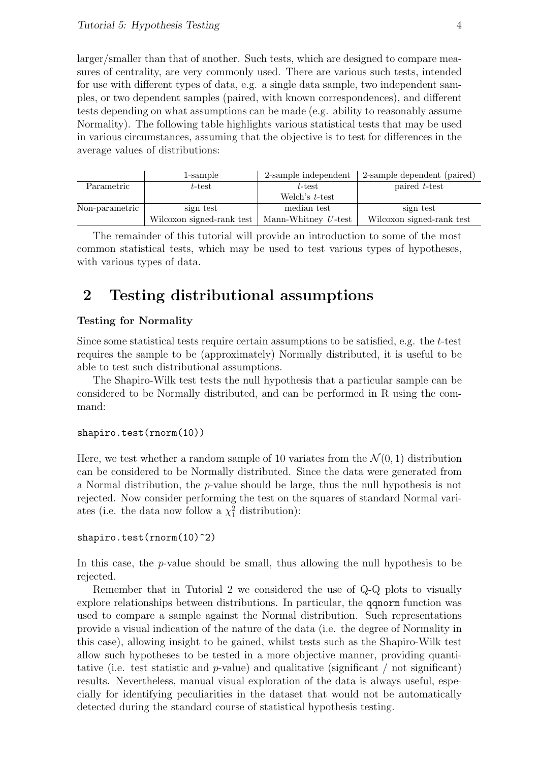larger/smaller than that of another. Such tests, which are designed to compare measures of centrality, are very commonly used. There are various such tests, intended for use with different types of data, e.g. a single data sample, two independent samples, or two dependent samples (paired, with known correspondences), and different tests depending on what assumptions can be made (e.g. ability to reasonably assume Normality). The following table highlights various statistical tests that may be used in various circumstances, assuming that the objective is to test for differences in the average values of distributions:

|                | 1-sample                  | 2-sample independent   | 2-sample dependent (paired) |
|----------------|---------------------------|------------------------|-----------------------------|
| Parametric     | $t$ -test                 | $t$ -test              | paired t-test               |
|                |                           | Welch's $t$ -test      |                             |
| Non-parametric | sign test                 | median test            | sign test                   |
|                | Wilcoxon signed-rank test | Mann-Whitney $U$ -test | Wilcoxon signed-rank test   |

The remainder of this tutorial will provide an introduction to some of the most common statistical tests, which may be used to test various types of hypotheses, with various types of data.

# 2 Testing distributional assumptions

### Testing for Normality

Since some statistical tests require certain assumptions to be satisfied, e.g. the t-test requires the sample to be (approximately) Normally distributed, it is useful to be able to test such distributional assumptions.

The Shapiro-Wilk test tests the null hypothesis that a particular sample can be considered to be Normally distributed, and can be performed in R using the command:

#### shapiro.test(rnorm(10))

Here, we test whether a random sample of 10 variates from the  $\mathcal{N}(0, 1)$  distribution can be considered to be Normally distributed. Since the data were generated from a Normal distribution, the p-value should be large, thus the null hypothesis is not rejected. Now consider performing the test on the squares of standard Normal variates (i.e. the data now follow a  $\chi_1^2$  distribution):

#### shapiro.test(rnorm(10)^2)

In this case, the p-value should be small, thus allowing the null hypothesis to be rejected.

Remember that in Tutorial 2 we considered the use of Q-Q plots to visually explore relationships between distributions. In particular, the qqnorm function was used to compare a sample against the Normal distribution. Such representations provide a visual indication of the nature of the data (i.e. the degree of Normality in this case), allowing insight to be gained, whilst tests such as the Shapiro-Wilk test allow such hypotheses to be tested in a more objective manner, providing quantitative (i.e. test statistic and  $p$ -value) and qualitative (significant / not significant) results. Nevertheless, manual visual exploration of the data is always useful, especially for identifying peculiarities in the dataset that would not be automatically detected during the standard course of statistical hypothesis testing.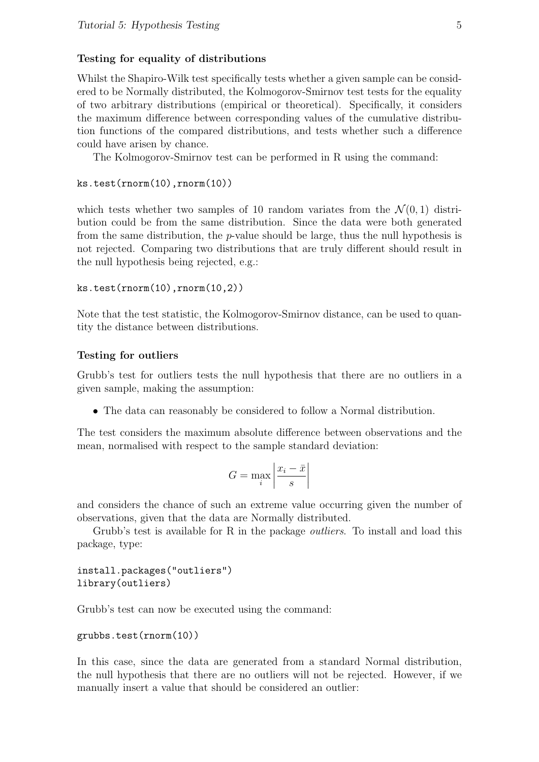#### Testing for equality of distributions

Whilst the Shapiro-Wilk test specifically tests whether a given sample can be considered to be Normally distributed, the Kolmogorov-Smirnov test tests for the equality of two arbitrary distributions (empirical or theoretical). Specifically, it considers the maximum difference between corresponding values of the cumulative distribution functions of the compared distributions, and tests whether such a difference could have arisen by chance.

The Kolmogorov-Smirnov test can be performed in R using the command:

```
ks.test(rnorm(10),rnorm(10))
```
which tests whether two samples of 10 random variates from the  $\mathcal{N}(0, 1)$  distribution could be from the same distribution. Since the data were both generated from the same distribution, the  $p$ -value should be large, thus the null hypothesis is not rejected. Comparing two distributions that are truly different should result in the null hypothesis being rejected, e.g.:

```
ks.test(rnorm(10),rnorm(10,2))
```
Note that the test statistic, the Kolmogorov-Smirnov distance, can be used to quantity the distance between distributions.

#### Testing for outliers

Grubb's test for outliers tests the null hypothesis that there are no outliers in a given sample, making the assumption:

• The data can reasonably be considered to follow a Normal distribution.

The test considers the maximum absolute difference between observations and the mean, normalised with respect to the sample standard deviation:

$$
G = \max_{i} \left| \frac{x_i - \bar{x}}{s} \right|
$$

and considers the chance of such an extreme value occurring given the number of observations, given that the data are Normally distributed.

Grubb's test is available for R in the package *outliers*. To install and load this package, type:

install.packages("outliers") library(outliers)

Grubb's test can now be executed using the command:

```
grubbs.test(rnorm(10))
```
In this case, since the data are generated from a standard Normal distribution, the null hypothesis that there are no outliers will not be rejected. However, if we manually insert a value that should be considered an outlier: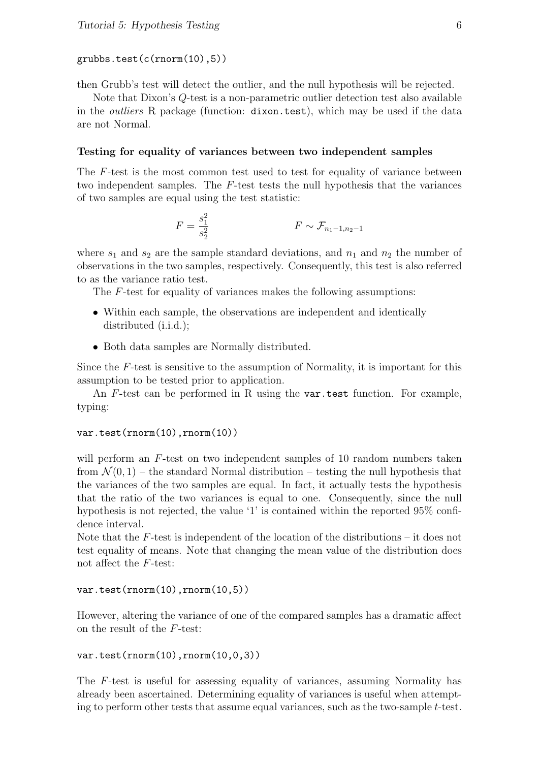#### grubbs.test(c(rnorm(10),5))

then Grubb's test will detect the outlier, and the null hypothesis will be rejected.

Note that Dixon's Q-test is a non-parametric outlier detection test also available in the *outliers* R package (function: dixon.test), which may be used if the data are not Normal.

#### Testing for equality of variances between two independent samples

The F-test is the most common test used to test for equality of variance between two independent samples. The  $F$ -test tests the null hypothesis that the variances of two samples are equal using the test statistic:

$$
F = \frac{s_1^2}{s_2^2} \qquad F \sim \mathcal{F}_{n_1 - 1, n_2 - 1}
$$

where  $s_1$  and  $s_2$  are the sample standard deviations, and  $n_1$  and  $n_2$  the number of observations in the two samples, respectively. Consequently, this test is also referred to as the variance ratio test.

The F-test for equality of variances makes the following assumptions:

- Within each sample, the observations are independent and identically distributed (i.i.d.);
- Both data samples are Normally distributed.

Since the  $F$ -test is sensitive to the assumption of Normality, it is important for this assumption to be tested prior to application.

An  $F$ -test can be performed in R using the var.test function. For example, typing:

#### var.test(rnorm(10),rnorm(10))

will perform an F-test on two independent samples of 10 random numbers taken from  $\mathcal{N}(0, 1)$  – the standard Normal distribution – testing the null hypothesis that the variances of the two samples are equal. In fact, it actually tests the hypothesis that the ratio of the two variances is equal to one. Consequently, since the null hypothesis is not rejected, the value '1' is contained within the reported 95% confidence interval.

Note that the  $F$ -test is independent of the location of the distributions – it does not test equality of means. Note that changing the mean value of the distribution does not affect the F-test:

#### var.test(rnorm(10),rnorm(10,5))

However, altering the variance of one of the compared samples has a dramatic affect on the result of the F-test:

```
var.test(rnorm(10),rnorm(10,0,3))
```
The F-test is useful for assessing equality of variances, assuming Normality has already been ascertained. Determining equality of variances is useful when attempting to perform other tests that assume equal variances, such as the two-sample t-test.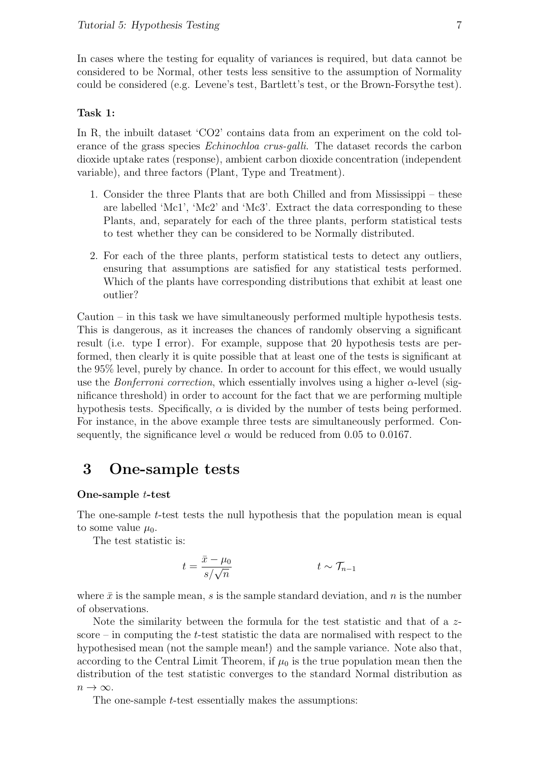In cases where the testing for equality of variances is required, but data cannot be considered to be Normal, other tests less sensitive to the assumption of Normality could be considered (e.g. Levene's test, Bartlett's test, or the Brown-Forsythe test).

#### Task 1:

In R, the inbuilt dataset 'CO2' contains data from an experiment on the cold tolerance of the grass species Echinochloa crus-galli. The dataset records the carbon dioxide uptake rates (response), ambient carbon dioxide concentration (independent variable), and three factors (Plant, Type and Treatment).

- 1. Consider the three Plants that are both Chilled and from Mississippi these are labelled 'Mc1', 'Mc2' and 'Mc3'. Extract the data corresponding to these Plants, and, separately for each of the three plants, perform statistical tests to test whether they can be considered to be Normally distributed.
- 2. For each of the three plants, perform statistical tests to detect any outliers, ensuring that assumptions are satisfied for any statistical tests performed. Which of the plants have corresponding distributions that exhibit at least one outlier?

Caution – in this task we have simultaneously performed multiple hypothesis tests. This is dangerous, as it increases the chances of randomly observing a significant result (i.e. type I error). For example, suppose that 20 hypothesis tests are performed, then clearly it is quite possible that at least one of the tests is significant at the 95% level, purely by chance. In order to account for this effect, we would usually use the *Bonferroni correction*, which essentially involves using a higher  $\alpha$ -level (significance threshold) in order to account for the fact that we are performing multiple hypothesis tests. Specifically,  $\alpha$  is divided by the number of tests being performed. For instance, in the above example three tests are simultaneously performed. Consequently, the significance level  $\alpha$  would be reduced from 0.05 to 0.0167.

# 3 One-sample tests

#### One-sample t-test

The one-sample t-test tests the null hypothesis that the population mean is equal to some value  $\mu_0$ .

The test statistic is:

$$
t = \frac{\bar{x} - \mu_0}{s / \sqrt{n}} \qquad \qquad t \sim \mathcal{T}_{n-1}
$$

where  $\bar{x}$  is the sample mean, s is the sample standard deviation, and n is the number of observations.

Note the similarity between the formula for the test statistic and that of a  $z$ score – in computing the  $t$ -test statistic the data are normalised with respect to the hypothesised mean (not the sample mean!) and the sample variance. Note also that, according to the Central Limit Theorem, if  $\mu_0$  is the true population mean then the distribution of the test statistic converges to the standard Normal distribution as  $n \to \infty$ .

The one-sample *t*-test essentially makes the assumptions: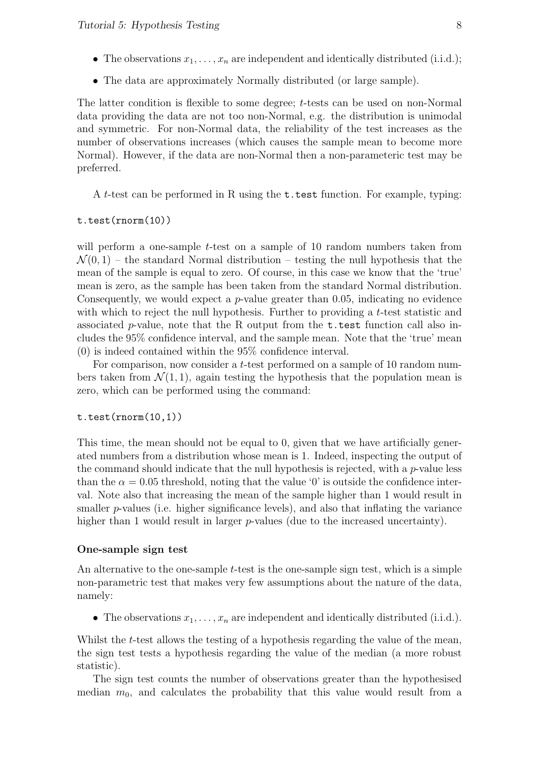- The observations  $x_1, \ldots, x_n$  are independent and identically distributed (i.i.d.);
- The data are approximately Normally distributed (or large sample).

The latter condition is flexible to some degree; t-tests can be used on non-Normal data providing the data are not too non-Normal, e.g. the distribution is unimodal and symmetric. For non-Normal data, the reliability of the test increases as the number of observations increases (which causes the sample mean to become more Normal). However, if the data are non-Normal then a non-parameteric test may be preferred.

A t-test can be performed in R using the t.test function. For example, typing:

#### t.test(rnorm(10))

will perform a one-sample  $t$ -test on a sample of 10 random numbers taken from  $\mathcal{N}(0,1)$  – the standard Normal distribution – testing the null hypothesis that the mean of the sample is equal to zero. Of course, in this case we know that the 'true' mean is zero, as the sample has been taken from the standard Normal distribution. Consequently, we would expect a  $p$ -value greater than 0.05, indicating no evidence with which to reject the null hypothesis. Further to providing a  $t$ -test statistic and associated p-value, note that the R output from the  $t$ .test function call also includes the 95% confidence interval, and the sample mean. Note that the 'true' mean (0) is indeed contained within the 95% confidence interval.

For comparison, now consider a t-test performed on a sample of 10 random numbers taken from  $\mathcal{N}(1,1)$ , again testing the hypothesis that the population mean is zero, which can be performed using the command:

#### t.test(rnorm(10,1))

This time, the mean should not be equal to 0, given that we have artificially generated numbers from a distribution whose mean is 1. Indeed, inspecting the output of the command should indicate that the null hypothesis is rejected, with a  $p$ -value less than the  $\alpha = 0.05$  threshold, noting that the value '0' is outside the confidence interval. Note also that increasing the mean of the sample higher than 1 would result in smaller  $p$ -values (i.e. higher significance levels), and also that inflating the variance higher than 1 would result in larger  $p$ -values (due to the increased uncertainty).

#### One-sample sign test

An alternative to the one-sample t-test is the one-sample sign test, which is a simple non-parametric test that makes very few assumptions about the nature of the data, namely:

• The observations  $x_1, \ldots, x_n$  are independent and identically distributed (i.i.d.).

Whilst the t-test allows the testing of a hypothesis regarding the value of the mean, the sign test tests a hypothesis regarding the value of the median (a more robust statistic).

The sign test counts the number of observations greater than the hypothesised median  $m_0$ , and calculates the probability that this value would result from a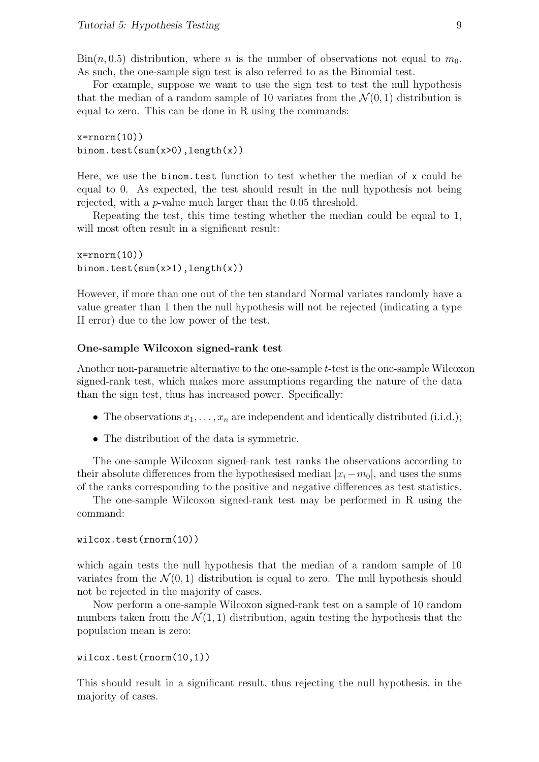$\text{Bin}(n, 0.5)$  distribution, where n is the number of observations not equal to  $m_0$ . As such, the one-sample sign test is also referred to as the Binomial test.

For example, suppose we want to use the sign test to test the null hypothesis that the median of a random sample of 10 variates from the  $\mathcal{N}(0, 1)$  distribution is equal to zero. This can be done in R using the commands:

```
x=rrnorm(10)binom.test(sum(x>0), length(x))
```
Here, we use the binom.test function to test whether the median of x could be equal to 0. As expected, the test should result in the null hypothesis not being rejected, with a p-value much larger than the 0.05 threshold.

Repeating the test, this time testing whether the median could be equal to 1, will most often result in a significant result:

 $x=rrnorm(10)$ binom.test(sum(x>1),length(x))

However, if more than one out of the ten standard Normal variates randomly have a value greater than 1 then the null hypothesis will not be rejected (indicating a type II error) due to the low power of the test.

#### One-sample Wilcoxon signed-rank test

Another non-parametric alternative to the one-sample t-test is the one-sample Wilcoxon signed-rank test, which makes more assumptions regarding the nature of the data than the sign test, thus has increased power. Specifically:

- The observations  $x_1, \ldots, x_n$  are independent and identically distributed (i.i.d.);
- The distribution of the data is symmetric.

The one-sample Wilcoxon signed-rank test ranks the observations according to their absolute differences from the hypothesised median  $|x_i-m_0|$ , and uses the sums of the ranks corresponding to the positive and negative differences as test statistics.

The one-sample Wilcoxon signed-rank test may be performed in R using the command:

#### wilcox.test(rnorm(10))

which again tests the null hypothesis that the median of a random sample of 10 variates from the  $\mathcal{N}(0, 1)$  distribution is equal to zero. The null hypothesis should not be rejected in the majority of cases.

Now perform a one-sample Wilcoxon signed-rank test on a sample of 10 random numbers taken from the  $\mathcal{N}(1,1)$  distribution, again testing the hypothesis that the population mean is zero:

```
wilcox.test(rnorm(10,1))
```
This should result in a significant result, thus rejecting the null hypothesis, in the majority of cases.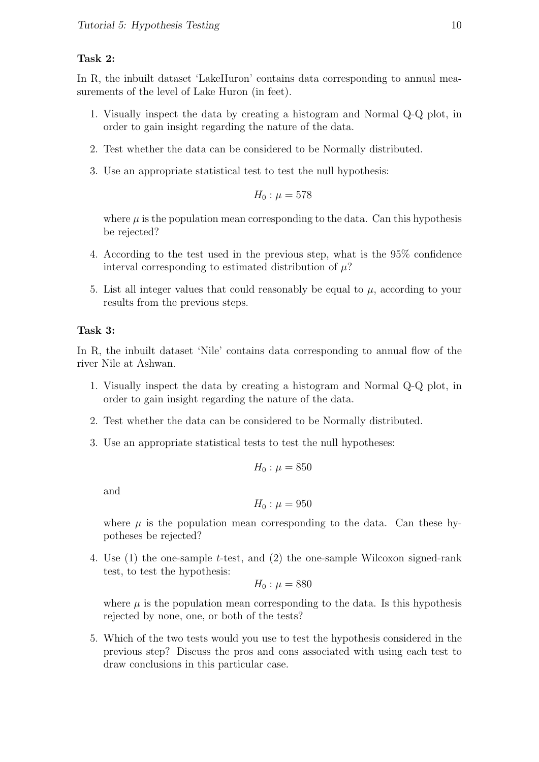#### Task 2:

In R, the inbuilt dataset 'LakeHuron' contains data corresponding to annual measurements of the level of Lake Huron (in feet).

- 1. Visually inspect the data by creating a histogram and Normal Q-Q plot, in order to gain insight regarding the nature of the data.
- 2. Test whether the data can be considered to be Normally distributed.
- 3. Use an appropriate statistical test to test the null hypothesis:

$$
H_0: \mu = 578
$$

where  $\mu$  is the population mean corresponding to the data. Can this hypothesis be rejected?

- 4. According to the test used in the previous step, what is the 95% confidence interval corresponding to estimated distribution of  $\mu$ ?
- 5. List all integer values that could reasonably be equal to  $\mu$ , according to your results from the previous steps.

#### Task 3:

In R, the inbuilt dataset 'Nile' contains data corresponding to annual flow of the river Nile at Ashwan.

- 1. Visually inspect the data by creating a histogram and Normal Q-Q plot, in order to gain insight regarding the nature of the data.
- 2. Test whether the data can be considered to be Normally distributed.
- 3. Use an appropriate statistical tests to test the null hypotheses:

$$
H_0: \mu = 850
$$

and

$$
H_0: \mu=950
$$

where  $\mu$  is the population mean corresponding to the data. Can these hypotheses be rejected?

4. Use (1) the one-sample t-test, and (2) the one-sample Wilcoxon signed-rank test, to test the hypothesis:

$$
H_0: \mu = 880
$$

where  $\mu$  is the population mean corresponding to the data. Is this hypothesis rejected by none, one, or both of the tests?

5. Which of the two tests would you use to test the hypothesis considered in the previous step? Discuss the pros and cons associated with using each test to draw conclusions in this particular case.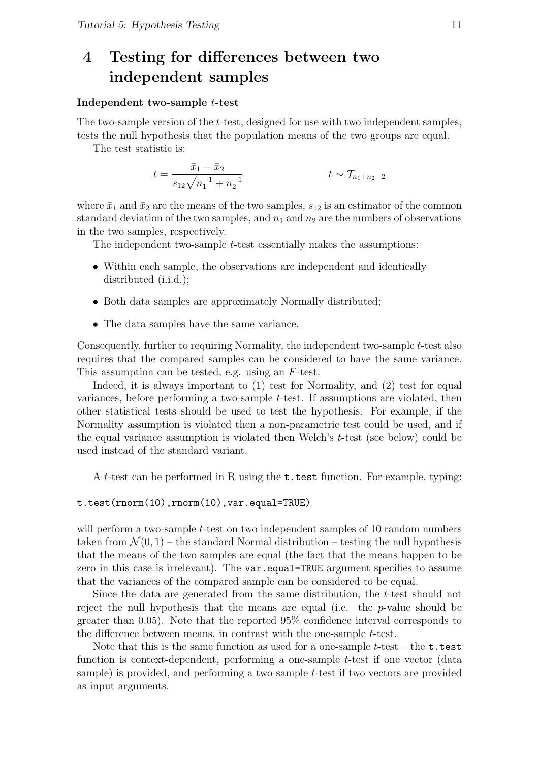# 4 Testing for differences between two independent samples

#### Independent two-sample t-test

The two-sample version of the t-test, designed for use with two independent samples, tests the null hypothesis that the population means of the two groups are equal.

The test statistic is:

$$
t = \frac{\bar{x}_1 - \bar{x}_2}{s_{12}\sqrt{n_1^{-1} + n_2^{-1}}} \qquad \qquad t \sim \mathcal{T}_{n_1 + n_2 - 2}
$$

where  $\bar{x}_1$  and  $\bar{x}_2$  are the means of the two samples,  $s_{12}$  is an estimator of the common standard deviation of the two samples, and  $n_1$  and  $n_2$  are the numbers of observations in the two samples, respectively.

The independent two-sample t-test essentially makes the assumptions:

- Within each sample, the observations are independent and identically distributed (i.i.d.);
- Both data samples are approximately Normally distributed;
- The data samples have the same variance.

Consequently, further to requiring Normality, the independent two-sample t-test also requires that the compared samples can be considered to have the same variance. This assumption can be tested, e.g. using an F-test.

Indeed, it is always important to (1) test for Normality, and (2) test for equal variances, before performing a two-sample  $t$ -test. If assumptions are violated, then other statistical tests should be used to test the hypothesis. For example, if the Normality assumption is violated then a non-parametric test could be used, and if the equal variance assumption is violated then Welch's t-test (see below) could be used instead of the standard variant.

A t-test can be performed in R using the t.test function. For example, typing:

t.test(rnorm(10),rnorm(10),var.equal=TRUE)

will perform a two-sample *t*-test on two independent samples of 10 random numbers taken from  $\mathcal{N}(0,1)$  – the standard Normal distribution – testing the null hypothesis that the means of the two samples are equal (the fact that the means happen to be zero in this case is irrelevant). The var.equal=TRUE argument specifies to assume that the variances of the compared sample can be considered to be equal.

Since the data are generated from the same distribution, the t-test should not reject the null hypothesis that the means are equal (i.e. the p-value should be greater than 0.05). Note that the reported 95% confidence interval corresponds to the difference between means, in contrast with the one-sample t-test.

Note that this is the same function as used for a one-sample  $t$ -test – the  $t$  test function is context-dependent, performing a one-sample t-test if one vector (data sample) is provided, and performing a two-sample t-test if two vectors are provided as input arguments.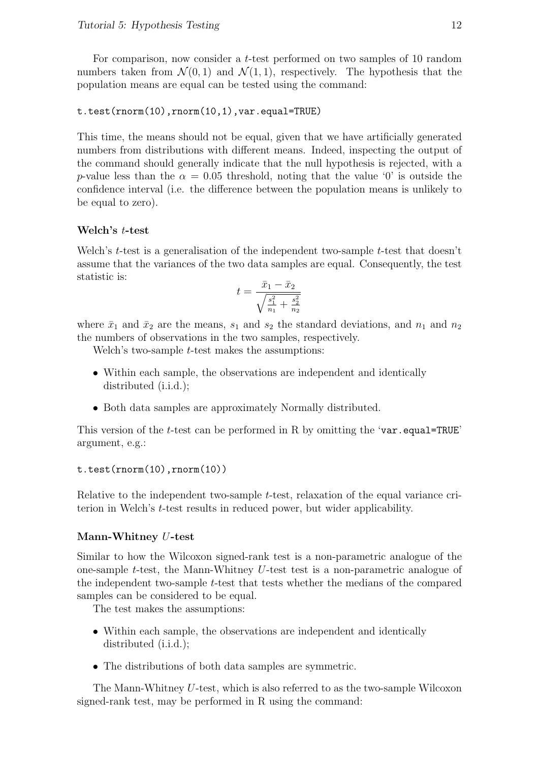For comparison, now consider a t-test performed on two samples of 10 random numbers taken from  $\mathcal{N}(0,1)$  and  $\mathcal{N}(1,1)$ , respectively. The hypothesis that the population means are equal can be tested using the command:

```
t.test(rnorm(10),rnorm(10,1),var.equal=TRUE)
```
This time, the means should not be equal, given that we have artificially generated numbers from distributions with different means. Indeed, inspecting the output of the command should generally indicate that the null hypothesis is rejected, with a p-value less than the  $\alpha = 0.05$  threshold, noting that the value '0' is outside the confidence interval (i.e. the difference between the population means is unlikely to be equal to zero).

### Welch's t-test

Welch's  $t$ -test is a generalisation of the independent two-sample  $t$ -test that doesn't assume that the variances of the two data samples are equal. Consequently, the test statistic is:

$$
t = \frac{\bar{x}_1 - \bar{x}_2}{\sqrt{\frac{s_1^2}{n_1} + \frac{s_2^2}{n_2}}}
$$

where  $\bar{x}_1$  and  $\bar{x}_2$  are the means,  $s_1$  and  $s_2$  the standard deviations, and  $n_1$  and  $n_2$ the numbers of observations in the two samples, respectively.

Welch's two-sample  $t$ -test makes the assumptions:

- Within each sample, the observations are independent and identically distributed (i.i.d.);
- Both data samples are approximately Normally distributed.

This version of the *t*-test can be performed in R by omitting the 'var.equal=TRUE' argument, e.g.:

#### t.test(rnorm(10),rnorm(10))

Relative to the independent two-sample *t*-test, relaxation of the equal variance criterion in Welch's t-test results in reduced power, but wider applicability.

#### Mann-Whitney U-test

Similar to how the Wilcoxon signed-rank test is a non-parametric analogue of the one-sample t-test, the Mann-Whitney U-test test is a non-parametric analogue of the independent two-sample t-test that tests whether the medians of the compared samples can be considered to be equal.

The test makes the assumptions:

- Within each sample, the observations are independent and identically distributed (i.i.d.);
- The distributions of both data samples are symmetric.

The Mann-Whitney U-test, which is also referred to as the two-sample Wilcoxon signed-rank test, may be performed in R using the command: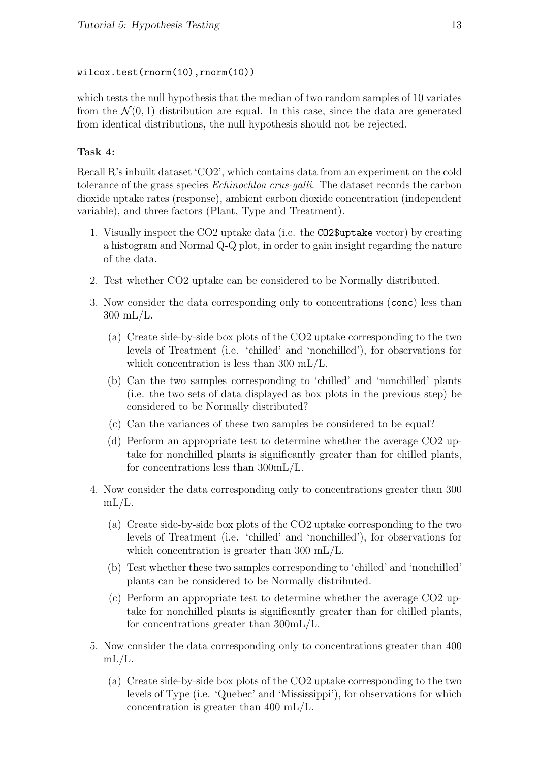### wilcox.test(rnorm(10),rnorm(10))

which tests the null hypothesis that the median of two random samples of 10 variates from the  $\mathcal{N}(0,1)$  distribution are equal. In this case, since the data are generated from identical distributions, the null hypothesis should not be rejected.

# Task 4:

Recall R's inbuilt dataset 'CO2', which contains data from an experiment on the cold tolerance of the grass species *Echinochloa crus-galli*. The dataset records the carbon dioxide uptake rates (response), ambient carbon dioxide concentration (independent variable), and three factors (Plant, Type and Treatment).

- 1. Visually inspect the CO2 uptake data (i.e. the CO2\$uptake vector) by creating a histogram and Normal Q-Q plot, in order to gain insight regarding the nature of the data.
- 2. Test whether CO2 uptake can be considered to be Normally distributed.
- 3. Now consider the data corresponding only to concentrations (conc) less than 300 mL/L.
	- (a) Create side-by-side box plots of the CO2 uptake corresponding to the two levels of Treatment (i.e. 'chilled' and 'nonchilled'), for observations for which concentration is less than 300 mL/L.
	- (b) Can the two samples corresponding to 'chilled' and 'nonchilled' plants (i.e. the two sets of data displayed as box plots in the previous step) be considered to be Normally distributed?
	- (c) Can the variances of these two samples be considered to be equal?
	- (d) Perform an appropriate test to determine whether the average CO2 uptake for nonchilled plants is significantly greater than for chilled plants, for concentrations less than 300mL/L.
- 4. Now consider the data corresponding only to concentrations greater than 300  $mL/L$ .
	- (a) Create side-by-side box plots of the CO2 uptake corresponding to the two levels of Treatment (i.e. 'chilled' and 'nonchilled'), for observations for which concentration is greater than 300 mL/L.
	- (b) Test whether these two samples corresponding to 'chilled' and 'nonchilled' plants can be considered to be Normally distributed.
	- (c) Perform an appropriate test to determine whether the average CO2 uptake for nonchilled plants is significantly greater than for chilled plants, for concentrations greater than 300mL/L.
- 5. Now consider the data corresponding only to concentrations greater than 400  $mL/L$ .
	- (a) Create side-by-side box plots of the CO2 uptake corresponding to the two levels of Type (i.e. 'Quebec' and 'Mississippi'), for observations for which concentration is greater than 400 mL/L.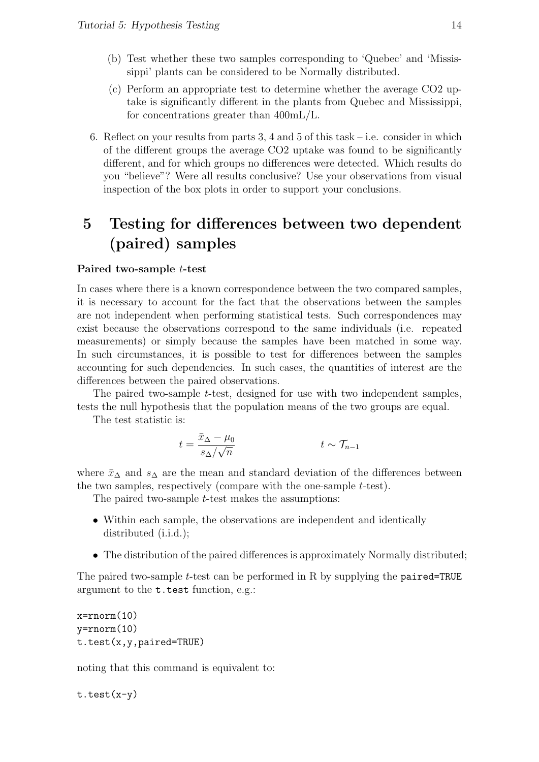- (b) Test whether these two samples corresponding to 'Quebec' and 'Mississippi' plants can be considered to be Normally distributed.
- (c) Perform an appropriate test to determine whether the average CO2 uptake is significantly different in the plants from Quebec and Mississippi, for concentrations greater than 400mL/L.
- 6. Reflect on your results from parts 3, 4 and 5 of this task  $-$  i.e. consider in which of the different groups the average CO2 uptake was found to be significantly different, and for which groups no differences were detected. Which results do you "believe"? Were all results conclusive? Use your observations from visual inspection of the box plots in order to support your conclusions.

# 5 Testing for differences between two dependent (paired) samples

#### Paired two-sample t-test

In cases where there is a known correspondence between the two compared samples, it is necessary to account for the fact that the observations between the samples are not independent when performing statistical tests. Such correspondences may exist because the observations correspond to the same individuals (i.e. repeated measurements) or simply because the samples have been matched in some way. In such circumstances, it is possible to test for differences between the samples accounting for such dependencies. In such cases, the quantities of interest are the differences between the paired observations.

The paired two-sample t-test, designed for use with two independent samples, tests the null hypothesis that the population means of the two groups are equal.

The test statistic is:

$$
t = \frac{\bar{x}_{\Delta} - \mu_0}{s_{\Delta}/\sqrt{n}} \qquad \qquad t \sim \mathcal{T}_{n-1}
$$

where  $\bar{x}_{\Delta}$  and  $s_{\Delta}$  are the mean and standard deviation of the differences between the two samples, respectively (compare with the one-sample t-test).

The paired two-sample *t*-test makes the assumptions:

- Within each sample, the observations are independent and identically distributed (i.i.d.);
- The distribution of the paired differences is approximately Normally distributed;

The paired two-sample t-test can be performed in R by supplying the paired=TRUE argument to the t.test function, e.g.:

```
x=rnorm(10)y=rnorm(10)
t.test(x,y,paired=TRUE)
```
noting that this command is equivalent to:

t.test(x-y)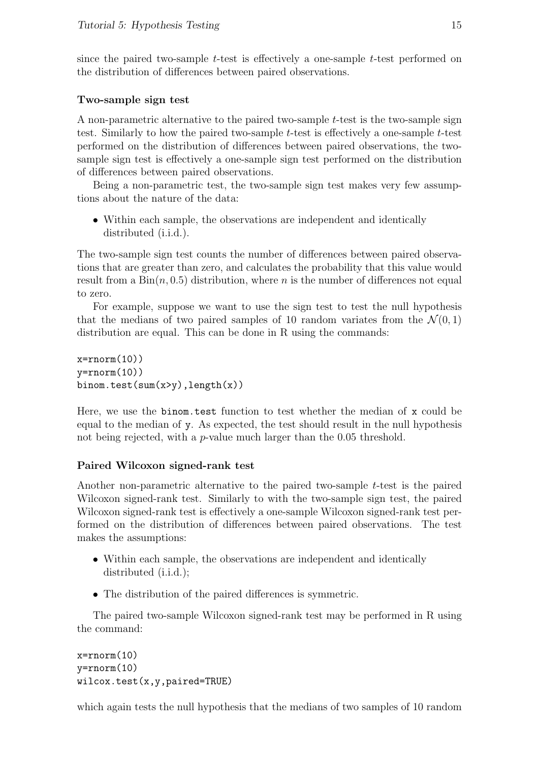since the paired two-sample t-test is effectively a one-sample t-test performed on the distribution of differences between paired observations.

### Two-sample sign test

A non-parametric alternative to the paired two-sample  $t$ -test is the two-sample sign test. Similarly to how the paired two-sample t-test is effectively a one-sample t-test performed on the distribution of differences between paired observations, the twosample sign test is effectively a one-sample sign test performed on the distribution of differences between paired observations.

Being a non-parametric test, the two-sample sign test makes very few assumptions about the nature of the data:

• Within each sample, the observations are independent and identically distributed (i.i.d.).

The two-sample sign test counts the number of differences between paired observations that are greater than zero, and calculates the probability that this value would result from a  $Bin(n, 0.5)$  distribution, where *n* is the number of differences not equal to zero.

For example, suppose we want to use the sign test to test the null hypothesis that the medians of two paired samples of 10 random variates from the  $\mathcal{N}(0,1)$ distribution are equal. This can be done in R using the commands:

```
x=rnorm(10)y=rrnorm(10)binom.test(sum(x>y),length(x))
```
Here, we use the binom.test function to test whether the median of x could be equal to the median of y. As expected, the test should result in the null hypothesis not being rejected, with a *p*-value much larger than the 0.05 threshold.

# Paired Wilcoxon signed-rank test

Another non-parametric alternative to the paired two-sample t-test is the paired Wilcoxon signed-rank test. Similarly to with the two-sample sign test, the paired Wilcoxon signed-rank test is effectively a one-sample Wilcoxon signed-rank test performed on the distribution of differences between paired observations. The test makes the assumptions:

- Within each sample, the observations are independent and identically distributed (i.i.d.);
- The distribution of the paired differences is symmetric.

The paired two-sample Wilcoxon signed-rank test may be performed in R using the command:

```
x=rnorm(10)y=rnorm(10)
wilcox.test(x,y,paired=TRUE)
```
which again tests the null hypothesis that the medians of two samples of 10 random